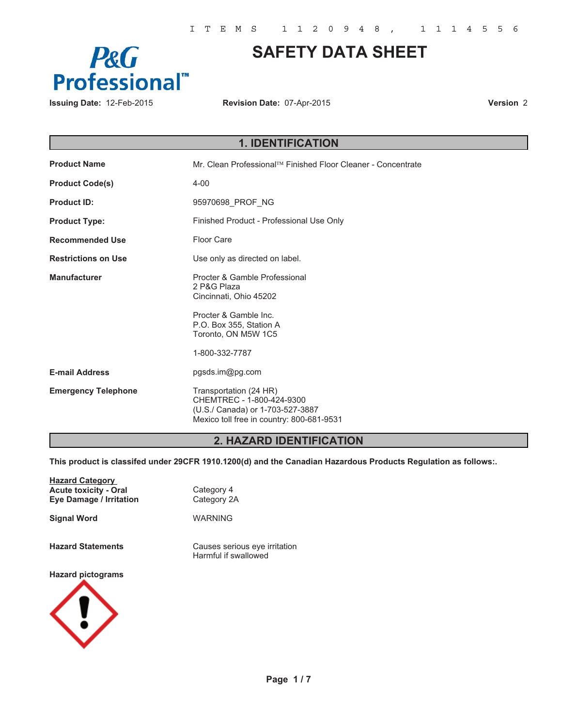

# **SAFETY DATA SHEET**

**Issuing Date:** 12-Feb-2015 **Revision Date:** 07-Apr-2015

**Version** 2

|                            | <b>1. IDENTIFICATION</b>                                                                                                             |
|----------------------------|--------------------------------------------------------------------------------------------------------------------------------------|
| <b>Product Name</b>        | Mr. Clean Professional™ Finished Floor Cleaner - Concentrate                                                                         |
| <b>Product Code(s)</b>     | $4 - 00$                                                                                                                             |
| <b>Product ID:</b>         | 95970698_PROF_NG                                                                                                                     |
| <b>Product Type:</b>       | Finished Product - Professional Use Only                                                                                             |
| <b>Recommended Use</b>     | Floor Care                                                                                                                           |
| <b>Restrictions on Use</b> | Use only as directed on label.                                                                                                       |
| <b>Manufacturer</b>        | Procter & Gamble Professional<br>2 P&G Plaza<br>Cincinnati, Ohio 45202                                                               |
|                            | Procter & Gamble Inc.<br>P.O. Box 355, Station A<br>Toronto, ON M5W 1C5                                                              |
|                            | 1-800-332-7787                                                                                                                       |
| <b>E-mail Address</b>      | pgsds.im@pg.com                                                                                                                      |
| <b>Emergency Telephone</b> | Transportation (24 HR)<br>CHEMTREC - 1-800-424-9300<br>(U.S./ Canada) or 1-703-527-3887<br>Mexico toll free in country: 800-681-9531 |

# **2. HAZARD IDENTIFICATION**

**This product is classifed under 29CFR 1910.1200(d) and the Canadian Hazardous Products Regulation as follows:.**

| <b>Hazard Category</b><br><b>Acute toxicity - Oral</b><br><b>Eye Damage / Irritation</b> | Category 4<br>Category 2A                             |
|------------------------------------------------------------------------------------------|-------------------------------------------------------|
| <b>Signal Word</b>                                                                       | WARNING                                               |
| <b>Hazard Statements</b>                                                                 | Causes serious eye irritation<br>Harmful if swallowed |
| <b>Hazard pictograms</b>                                                                 |                                                       |

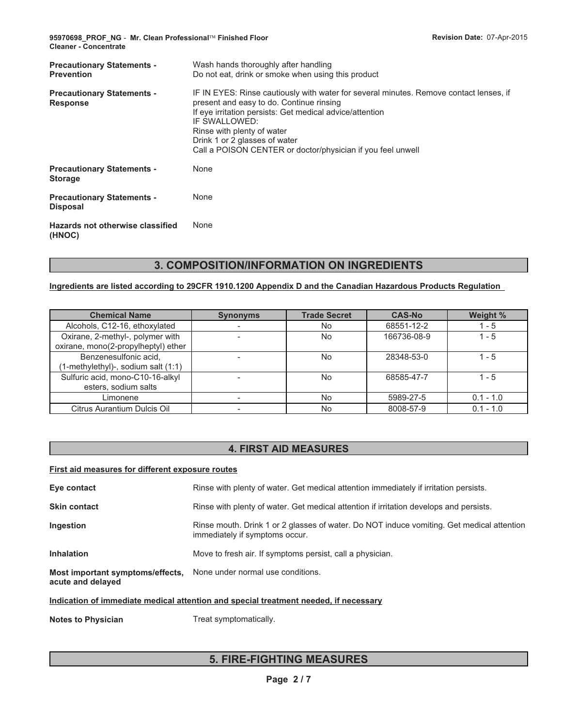**95970698\_PROF\_NG** - **Mr. Clean Professional- Finished Floor Cleaner - Concentrate**

| <b>Precautionary Statements -</b><br><b>Prevention</b> | Wash hands thoroughly after handling<br>Do not eat, drink or smoke when using this product                                                                                                                                                                                                                                                    |
|--------------------------------------------------------|-----------------------------------------------------------------------------------------------------------------------------------------------------------------------------------------------------------------------------------------------------------------------------------------------------------------------------------------------|
| <b>Precautionary Statements -</b><br><b>Response</b>   | IF IN EYES: Rinse cautiously with water for several minutes. Remove contact lenses, if<br>present and easy to do. Continue rinsing<br>If eye irritation persists: Get medical advice/attention<br>IF SWALLOWED:<br>Rinse with plenty of water<br>Drink 1 or 2 glasses of water<br>Call a POISON CENTER or doctor/physician if you feel unwell |
| <b>Precautionary Statements -</b><br><b>Storage</b>    | None                                                                                                                                                                                                                                                                                                                                          |
| <b>Precautionary Statements -</b><br><b>Disposal</b>   | None                                                                                                                                                                                                                                                                                                                                          |
| Hazards not otherwise classified<br>(HNOC)             | None                                                                                                                                                                                                                                                                                                                                          |

# **3. COMPOSITION/INFORMATION ON INGREDIENTS**

### **Ingredients are listed according to 29CFR 1910.1200 Appendix D and the Canadian Hazardous Products Regulation**

| <b>Chemical Name</b>                                                    | <b>Synonyms</b> | <b>Trade Secret</b> | <b>CAS-No</b> | Weight %    |
|-------------------------------------------------------------------------|-----------------|---------------------|---------------|-------------|
| Alcohols, C12-16, ethoxylated                                           |                 | No                  | 68551-12-2    | 1 - 5       |
| Oxirane, 2-methyl-, polymer with<br>oxirane, mono(2-propylheptyl) ether |                 | No                  | 166736-08-9   | $1 - 5$     |
| Benzenesulfonic acid,<br>(1-methylethyl)-, sodium salt (1:1)            |                 | <b>No</b>           | 28348-53-0    | $1 - 5$     |
| Sulfuric acid, mono-C10-16-alkyl<br>esters, sodium salts                |                 | No                  | 68585-47-7    | $1 - 5$     |
| Limonene                                                                |                 | No                  | 5989-27-5     | $0.1 - 1.0$ |
| Citrus Aurantium Dulcis Oil                                             |                 | No                  | 8008-57-9     | $0.1 - 1.0$ |

# **4. FIRST AID MEASURES**

### **First aid measures for different exposure routes**

| Eye contact                                           | Rinse with plenty of water. Get medical attention immediately if irritation persists.                                       |
|-------------------------------------------------------|-----------------------------------------------------------------------------------------------------------------------------|
| <b>Skin contact</b>                                   | Rinse with plenty of water. Get medical attention if irritation develops and persists.                                      |
| Ingestion                                             | Rinse mouth. Drink 1 or 2 glasses of water. Do NOT induce vomiting. Get medical attention<br>immediately if symptoms occur. |
| <b>Inhalation</b>                                     | Move to fresh air. If symptoms persist, call a physician.                                                                   |
| Most important symptoms/effects,<br>acute and delayed | None under normal use conditions.                                                                                           |

### **Indication of immediate medical attention and special treatment needed, if necessary**

**Notes to Physician** Treat symptomatically.

# **5. FIRE-FIGHTING MEASURES**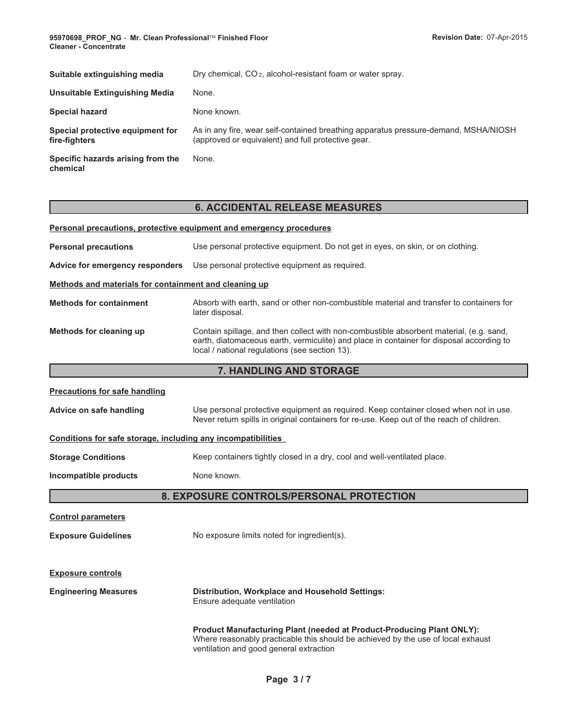**95970698\_PROF\_NG** - **Mr. Clean Professional-Cleaner - Concentrate**

| Suitable extinguishing media                      | Dry chemical, CO <sub>2</sub> , alcohol-resistant foam or water spray.                                                                    |
|---------------------------------------------------|-------------------------------------------------------------------------------------------------------------------------------------------|
| Unsuitable Extinguishing Media                    | None.                                                                                                                                     |
| <b>Special hazard</b>                             | None known.                                                                                                                               |
| Special protective equipment for<br>fire-fighters | As in any fire, wear self-contained breathing apparatus pressure-demand, MSHA/NIOSH<br>(approved or equivalent) and full protective gear. |
| Specific hazards arising from the<br>chemical     | None.                                                                                                                                     |
|                                                   |                                                                                                                                           |

# **6. ACCIDENTAL RELEASE MEASURES Personal precautions, protective equipment and emergency procedures**

| <b>Personal precautions</b>                                  | Use personal protective equipment. Do not get in eyes, on skin, or on clothing.                                                                                                                                                       |  |
|--------------------------------------------------------------|---------------------------------------------------------------------------------------------------------------------------------------------------------------------------------------------------------------------------------------|--|
| Advice for emergency responders                              | Use personal protective equipment as required.                                                                                                                                                                                        |  |
| Methods and materials for containment and cleaning up        |                                                                                                                                                                                                                                       |  |
| <b>Methods for containment</b>                               | Absorb with earth, sand or other non-combustible material and transfer to containers for<br>later disposal.                                                                                                                           |  |
| Methods for cleaning up                                      | Contain spillage, and then collect with non-combustible absorbent material, (e.g. sand,<br>earth, diatomaceous earth, vermiculite) and place in container for disposal according to<br>local / national regulations (see section 13). |  |
|                                                              | 7. HANDLING AND STORAGE                                                                                                                                                                                                               |  |
| <b>Precautions for safe handling</b>                         |                                                                                                                                                                                                                                       |  |
| Advice on safe handling                                      | Use personal protective equipment as required. Keep container closed when not in use.<br>Never return spills in original containers for re-use. Keep out of the reach of children.                                                    |  |
| Conditions for safe storage, including any incompatibilities |                                                                                                                                                                                                                                       |  |
| <b>Storage Conditions</b>                                    | Keep containers tightly closed in a dry, cool and well-ventilated place.                                                                                                                                                              |  |
| Incompatible products                                        | None known.                                                                                                                                                                                                                           |  |
|                                                              | 8. EXPOSURE CONTROLS/PERSONAL PROTECTION                                                                                                                                                                                              |  |
| <b>Control parameters</b>                                    |                                                                                                                                                                                                                                       |  |
| <b>Exposure Guidelines</b>                                   | No exposure limits noted for ingredient(s).                                                                                                                                                                                           |  |
| <b>Exposure controls</b>                                     |                                                                                                                                                                                                                                       |  |
| <b>Engineering Measures</b>                                  | Distribution, Workplace and Household Settings:<br>Ensure adequate ventilation                                                                                                                                                        |  |
|                                                              | Product Manufacturing Plant (needed at Product-Producing Plant ONLY):<br>Where reasonably practicable this should be achieved by the use of local exhaust<br>ventilation and good general extraction                                  |  |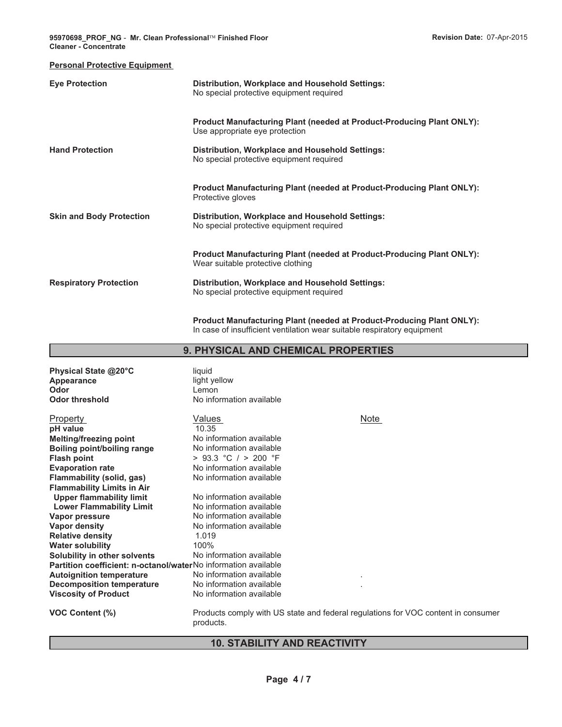#### **Personal Protective Equipment**

| <b>Eye Protection</b>           | Distribution, Workplace and Household Settings:<br>No special protective equipment required                                                                       |
|---------------------------------|-------------------------------------------------------------------------------------------------------------------------------------------------------------------|
| <b>Hand Protection</b>          | <b>Product Manufacturing Plant (needed at Product-Producing Plant ONLY):</b><br>Use appropriate eye protection<br>Distribution, Workplace and Household Settings: |
|                                 | No special protective equipment required<br>Product Manufacturing Plant (needed at Product-Producing Plant ONLY):                                                 |
| <b>Skin and Body Protection</b> | Protective gloves<br>Distribution, Workplace and Household Settings:<br>No special protective equipment required                                                  |
|                                 | <b>Product Manufacturing Plant (needed at Product-Producing Plant ONLY):</b><br>Wear suitable protective clothing                                                 |
| <b>Respiratory Protection</b>   | Distribution, Workplace and Household Settings:<br>No special protective equipment required                                                                       |

**Product Manufacturing Plant (needed at Product-Producing Plant ONLY):** In case of insufficient ventilation wear suitable respiratory equipment

### **9. PHYSICAL AND CHEMICAL PROPERTIES**

| Physical State @20°C<br>Appearance<br>Odor<br><b>Odor threshold</b>   | liquid<br>light yellow<br>Lemon<br>No information available                                    |      |
|-----------------------------------------------------------------------|------------------------------------------------------------------------------------------------|------|
| <b>Property</b>                                                       | Values                                                                                         | Note |
| pH value                                                              | 10.35                                                                                          |      |
| <b>Melting/freezing point</b>                                         | No information available                                                                       |      |
| <b>Boiling point/boiling range</b>                                    | No information available                                                                       |      |
| <b>Flash point</b>                                                    | $>$ 93.3 °C / $>$ 200 °F                                                                       |      |
| <b>Evaporation rate</b>                                               | No information available                                                                       |      |
| Flammability (solid, gas)                                             | No information available                                                                       |      |
| <b>Flammability Limits in Air</b>                                     |                                                                                                |      |
| <b>Upper flammability limit</b>                                       | No information available                                                                       |      |
| <b>Lower Flammability Limit</b>                                       | No information available                                                                       |      |
| Vapor pressure                                                        | No information available                                                                       |      |
| <b>Vapor density</b>                                                  | No information available                                                                       |      |
| <b>Relative density</b>                                               | 1.019                                                                                          |      |
| <b>Water solubility</b>                                               | 100%                                                                                           |      |
| Solubility in other solvents                                          | No information available                                                                       |      |
| <b>Partition coefficient: n-octanol/waterNo information available</b> |                                                                                                |      |
| <b>Autoignition temperature</b>                                       | No information available                                                                       |      |
| <b>Decomposition temperature</b>                                      | No information available                                                                       |      |
| <b>Viscosity of Product</b>                                           | No information available                                                                       |      |
| <b>VOC Content (%)</b>                                                | Products comply with US state and federal regulations for VOC content in consumer<br>products. |      |

# **10. STABILITY AND REACTIVITY**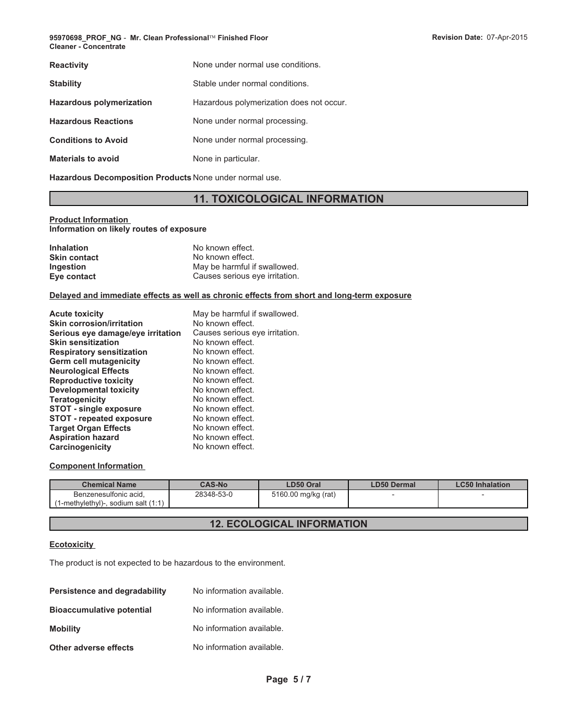| <b>Reactivity</b>               | None under normal use conditions.        |
|---------------------------------|------------------------------------------|
| <b>Stability</b>                | Stable under normal conditions.          |
| <b>Hazardous polymerization</b> | Hazardous polymerization does not occur. |
| <b>Hazardous Reactions</b>      | None under normal processing.            |
| <b>Conditions to Avoid</b>      | None under normal processing.            |
| <b>Materials to avoid</b>       | None in particular.                      |
|                                 |                                          |

**Hazardous Decomposition Products** None under normal use.

# **11. TOXICOLOGICAL INFORMATION**

#### **Product Information Information on likely routes of exposure**

| <b>Inhalation</b>   | No known effect.               |
|---------------------|--------------------------------|
| <b>Skin contact</b> | No known effect.               |
| <b>Ingestion</b>    | May be harmful if swallowed.   |
| Eye contact         | Causes serious eye irritation. |

#### **Delayed and immediate effects as well as chronic effects from short and long-term exposure**

| May be harmful if swallowed.   |
|--------------------------------|
| No known effect.               |
| Causes serious eye irritation. |
| No known effect.               |
| No known effect.               |
| No known effect.               |
| No known effect.               |
| No known effect.               |
| No known effect.               |
| No known effect.               |
| No known effect.               |
| No known effect.               |
| No known effect.               |
| No known effect.               |
| No known effect.               |
|                                |

### **Component Information**

| <b>Chemical Name</b>                                              | <b>CAS-No</b> | LD50 Oral           | <b>LD50 Dermal</b> | <b>LC50 Inhalation</b> |
|-------------------------------------------------------------------|---------------|---------------------|--------------------|------------------------|
| Benzenesulfonic acid.<br>$(1-methylethyl)$ -, sodium salt $(1:1)$ | 28348-53-0    | 5160.00 mg/kg (rat) |                    |                        |

# **12. ECOLOGICAL INFORMATION**

#### **Ecotoxicity**

The product is not expected to be hazardous to the environment.

| <b>Persistence and degradability</b> | No information available. |
|--------------------------------------|---------------------------|
| <b>Bioaccumulative potential</b>     | No information available. |
| <b>Mobility</b>                      | No information available. |
| Other adverse effects                | No information available. |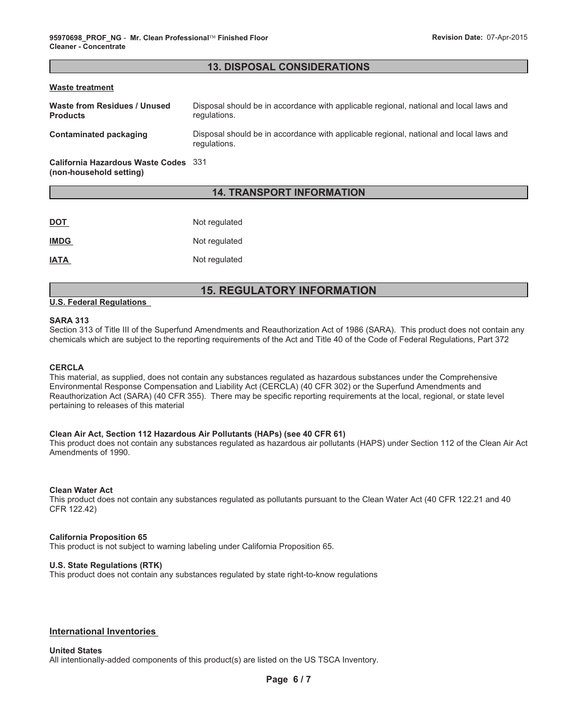### **13. DISPOSAL CONSIDERATIONS**

#### **Waste treatment**

| Waste from Residues / Unused<br><b>Products</b> | Disposal should be in accordance with applicable regional, national and local laws and<br>regulations. |
|-------------------------------------------------|--------------------------------------------------------------------------------------------------------|
| <b>Contaminated packaging</b>                   | Disposal should be in accordance with applicable regional, national and local laws and<br>regulations. |
| California Hazardous Waste Codes 331            |                                                                                                        |

**(non-household setting)**

### **14. TRANSPORT INFORMATION**

| <b>DOT</b>  | Not regulated |
|-------------|---------------|
| <b>IMDG</b> | Not regulated |
| <b>IATA</b> | Not regulated |

## **15. REGULATORY INFORMATION**

#### **U.S. Federal Regulations**

### **SARA 313**

Section 313 of Title III of the Superfund Amendments and Reauthorization Act of 1986 (SARA). This product does not contain any chemicals which are subject to the reporting requirements of the Act and Title 40 of the Code of Federal Regulations, Part 372

#### **CERCLA**

This material, as supplied, does not contain any substances regulated as hazardous substances under the Comprehensive Environmental Response Compensation and Liability Act (CERCLA) (40 CFR 302) or the Superfund Amendments and Reauthorization Act (SARA) (40 CFR 355). There may be specific reporting requirements at the local, regional, or state level pertaining to releases of this material

#### **Clean Air Act, Section 112 Hazardous Air Pollutants (HAPs) (see 40 CFR 61)**

This product does not contain any substances regulated as hazardous air pollutants (HAPS) under Section 112 of the Clean Air Act Amendments of 1990.

#### **Clean Water Act**

This product does not contain any substances regulated as pollutants pursuant to the Clean Water Act (40 CFR 122.21 and 40 CFR 122.42)

#### **California Proposition 65**

This product is not subject to warning labeling under California Proposition 65.

#### **U.S. State Regulations (RTK)**

This product does not contain any substances regulated by state right-to-know regulations

#### **International Inventories**

### **United States**

All intentionally-added components of this product(s) are listed on the US TSCA Inventory.